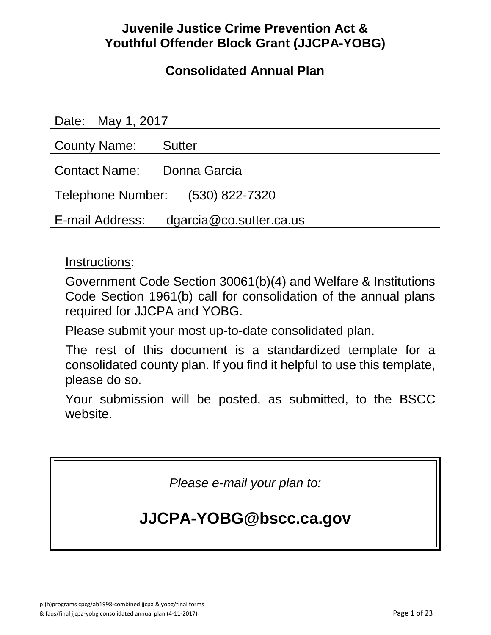## **Juvenile Justice Crime Prevention Act & Youthful Offender Block Grant (JJCPA-YOBG)**

## **Consolidated Annual Plan**

| Date: May 1, 2017                       |  |  |
|-----------------------------------------|--|--|
| County Name: Sutter                     |  |  |
| Contact Name: Donna Garcia              |  |  |
| Telephone Number: (530) 822-7320        |  |  |
| E-mail Address: dgarcia@co.sutter.ca.us |  |  |

## Instructions:

Government Code Section 30061(b)(4) and Welfare & Institutions Code Section 1961(b) call for consolidation of the annual plans required for JJCPA and YOBG.

Please submit your most up-to-date consolidated plan.

The rest of this document is a standardized template for a consolidated county plan. If you find it helpful to use this template, please do so.

Your submission will be posted, as submitted, to the BSCC website.

*Please e-mail your plan to:*

# **JJCPA-YOBG@bscc.ca.gov**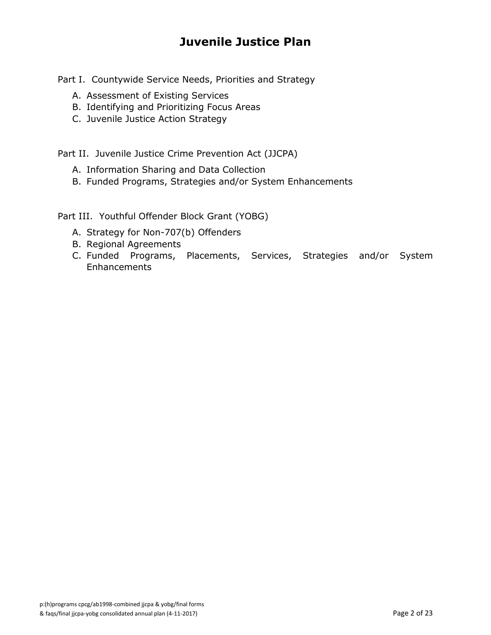## **Juvenile Justice Plan**

Part I. Countywide Service Needs, Priorities and Strategy

- A. Assessment of Existing Services
- B. Identifying and Prioritizing Focus Areas
- C. Juvenile Justice Action Strategy

Part II. Juvenile Justice Crime Prevention Act (JJCPA)

- A. Information Sharing and Data Collection
- B. Funded Programs, Strategies and/or System Enhancements

Part III. Youthful Offender Block Grant (YOBG)

- A. Strategy for Non-707(b) Offenders
- B. Regional Agreements
- C. Funded Programs, Placements, Services, Strategies and/or System **Enhancements**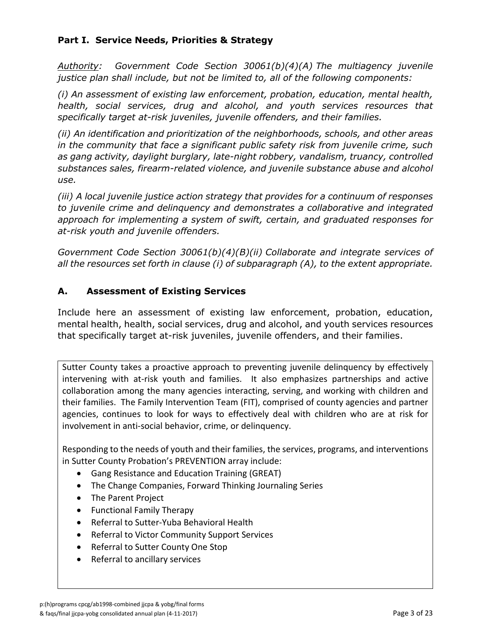### **Part I. Service Needs, Priorities & Strategy**

*Authority: Government Code Section 30061(b)(4)(A) The multiagency juvenile justice plan shall include, but not be limited to, all of the following components:*

*(i) An assessment of existing law enforcement, probation, education, mental health, health, social services, drug and alcohol, and youth services resources that specifically target at-risk juveniles, juvenile offenders, and their families.*

*(ii) An identification and prioritization of the neighborhoods, schools, and other areas in the community that face a significant public safety risk from juvenile crime, such as gang activity, daylight burglary, late-night robbery, vandalism, truancy, controlled substances sales, firearm-related violence, and juvenile substance abuse and alcohol use.*

*(iii) A local juvenile justice action strategy that provides for a continuum of responses to juvenile crime and delinquency and demonstrates a collaborative and integrated approach for implementing a system of swift, certain, and graduated responses for at-risk youth and juvenile offenders.*

*Government Code Section 30061(b)(4)(B)(ii) Collaborate and integrate services of all the resources set forth in clause (i) of subparagraph (A), to the extent appropriate.*

#### **A. Assessment of Existing Services**

Include here an assessment of existing law enforcement, probation, education, mental health, health, social services, drug and alcohol, and youth services resources that specifically target at-risk juveniles, juvenile offenders, and their families.

Sutter County takes a proactive approach to preventing juvenile delinquency by effectively intervening with at-risk youth and families. It also emphasizes partnerships and active collaboration among the many agencies interacting, serving, and working with children and their families. The Family Intervention Team (FIT), comprised of county agencies and partner agencies, continues to look for ways to effectively deal with children who are at risk for involvement in anti-social behavior, crime, or delinquency.

Responding to the needs of youth and their families, the services, programs, and interventions in Sutter County Probation's PREVENTION array include:

- Gang Resistance and Education Training (GREAT)
- The Change Companies, Forward Thinking Journaling Series
- The Parent Project
- Functional Family Therapy
- Referral to Sutter-Yuba Behavioral Health
- Referral to Victor Community Support Services
- Referral to Sutter County One Stop
- Referral to ancillary services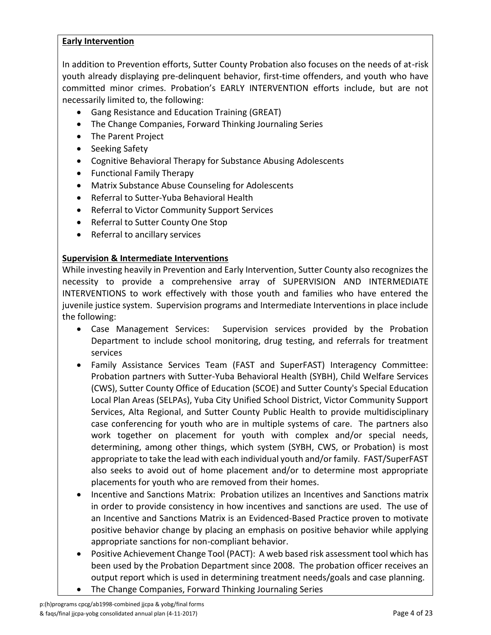#### **Early Intervention**

In addition to Prevention efforts, Sutter County Probation also focuses on the needs of at-risk youth already displaying pre-delinquent behavior, first-time offenders, and youth who have committed minor crimes. Probation's EARLY INTERVENTION efforts include, but are not necessarily limited to, the following:

- Gang Resistance and Education Training (GREAT)
- The Change Companies, Forward Thinking Journaling Series
- The Parent Project
- Seeking Safety
- Cognitive Behavioral Therapy for Substance Abusing Adolescents
- Functional Family Therapy
- Matrix Substance Abuse Counseling for Adolescents
- Referral to Sutter-Yuba Behavioral Health
- Referral to Victor Community Support Services
- Referral to Sutter County One Stop
- Referral to ancillary services

#### **Supervision & Intermediate Interventions**

While investing heavily in Prevention and Early Intervention, Sutter County also recognizes the necessity to provide a comprehensive array of SUPERVISION AND INTERMEDIATE INTERVENTIONS to work effectively with those youth and families who have entered the juvenile justice system. Supervision programs and Intermediate Interventions in place include the following:

- Case Management Services: Supervision services provided by the Probation Department to include school monitoring, drug testing, and referrals for treatment services
- Family Assistance Services Team (FAST and SuperFAST) Interagency Committee: Probation partners with Sutter-Yuba Behavioral Health (SYBH), Child Welfare Services (CWS), Sutter County Office of Education (SCOE) and Sutter County's Special Education Local Plan Areas (SELPAs), Yuba City Unified School District, Victor Community Support Services, Alta Regional, and Sutter County Public Health to provide multidisciplinary case conferencing for youth who are in multiple systems of care. The partners also work together on placement for youth with complex and/or special needs, determining, among other things, which system (SYBH, CWS, or Probation) is most appropriate to take the lead with each individual youth and/or family. FAST/SuperFAST also seeks to avoid out of home placement and/or to determine most appropriate placements for youth who are removed from their homes.
- Incentive and Sanctions Matrix: Probation utilizes an Incentives and Sanctions matrix in order to provide consistency in how incentives and sanctions are used. The use of an Incentive and Sanctions Matrix is an Evidenced-Based Practice proven to motivate positive behavior change by placing an emphasis on positive behavior while applying appropriate sanctions for non-compliant behavior.
- Positive Achievement Change Tool (PACT): A web based risk assessment tool which has been used by the Probation Department since 2008. The probation officer receives an output report which is used in determining treatment needs/goals and case planning.
- The Change Companies, Forward Thinking Journaling Series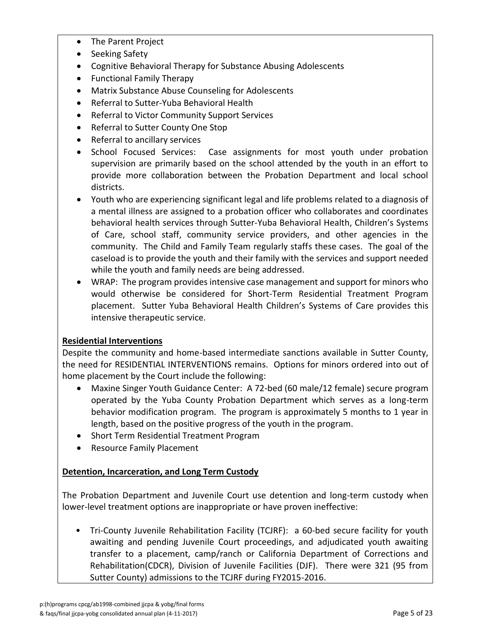- The Parent Project
- Seeking Safety
- Cognitive Behavioral Therapy for Substance Abusing Adolescents
- Functional Family Therapy
- Matrix Substance Abuse Counseling for Adolescents
- Referral to Sutter-Yuba Behavioral Health
- Referral to Victor Community Support Services
- Referral to Sutter County One Stop
- Referral to ancillary services
- School Focused Services: Case assignments for most youth under probation supervision are primarily based on the school attended by the youth in an effort to provide more collaboration between the Probation Department and local school districts.
- Youth who are experiencing significant legal and life problems related to a diagnosis of a mental illness are assigned to a probation officer who collaborates and coordinates behavioral health services through Sutter-Yuba Behavioral Health, Children's Systems of Care, school staff, community service providers, and other agencies in the community. The Child and Family Team regularly staffs these cases. The goal of the caseload is to provide the youth and their family with the services and support needed while the youth and family needs are being addressed.
- WRAP: The program provides intensive case management and support for minors who would otherwise be considered for Short-Term Residential Treatment Program placement. Sutter Yuba Behavioral Health Children's Systems of Care provides this intensive therapeutic service.

### **Residential Interventions**

Despite the community and home-based intermediate sanctions available in Sutter County, the need for RESIDENTIAL INTERVENTIONS remains. Options for minors ordered into out of home placement by the Court include the following:

- Maxine Singer Youth Guidance Center: A 72-bed (60 male/12 female) secure program operated by the Yuba County Probation Department which serves as a long-term behavior modification program. The program is approximately 5 months to 1 year in length, based on the positive progress of the youth in the program.
- Short Term Residential Treatment Program
- Resource Family Placement

### **Detention, Incarceration, and Long Term Custody**

The Probation Department and Juvenile Court use detention and long-term custody when lower-level treatment options are inappropriate or have proven ineffective:

• Tri-County Juvenile Rehabilitation Facility (TCJRF): a 60-bed secure facility for youth awaiting and pending Juvenile Court proceedings, and adjudicated youth awaiting transfer to a placement, camp/ranch or California Department of Corrections and Rehabilitation(CDCR), Division of Juvenile Facilities (DJF). There were 321 (95 from Sutter County) admissions to the TCJRF during FY2015-2016.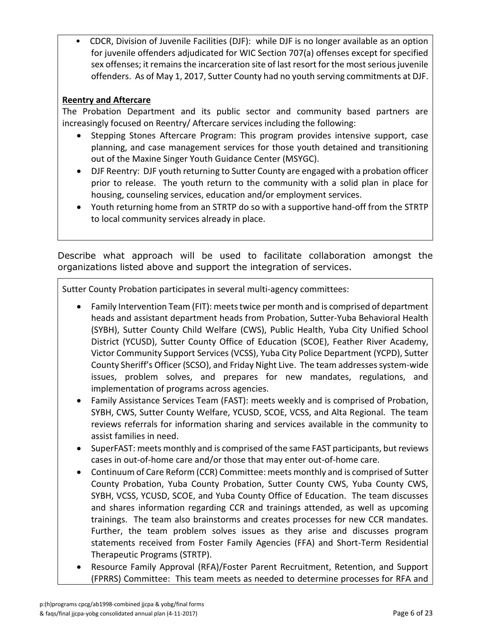• CDCR, Division of Juvenile Facilities (DJF): while DJF is no longer available as an option for juvenile offenders adjudicated for WIC Section 707(a) offenses except for specified sex offenses; it remains the incarceration site of last resort for the most serious juvenile offenders. As of May 1, 2017, Sutter County had no youth serving commitments at DJF.

### **Reentry and Aftercare**

The Probation Department and its public sector and community based partners are increasingly focused on Reentry/ Aftercare services including the following:

- Stepping Stones Aftercare Program: This program provides intensive support, case planning, and case management services for those youth detained and transitioning out of the Maxine Singer Youth Guidance Center (MSYGC).
- DJF Reentry: DJF youth returning to Sutter County are engaged with a probation officer prior to release. The youth return to the community with a solid plan in place for housing, counseling services, education and/or employment services.
- Youth returning home from an STRTP do so with a supportive hand-off from the STRTP to local community services already in place.

Describe what approach will be used to facilitate collaboration amongst the organizations listed above and support the integration of services.

Sutter County Probation participates in several multi-agency committees:

- Family Intervention Team (FIT): meets twice per month and is comprised of department heads and assistant department heads from Probation, Sutter-Yuba Behavioral Health (SYBH), Sutter County Child Welfare (CWS), Public Health, Yuba City Unified School District (YCUSD), Sutter County Office of Education (SCOE), Feather River Academy, Victor Community Support Services (VCSS), Yuba City Police Department (YCPD), Sutter County Sheriff's Officer (SCSO), and Friday Night Live. The team addressessystem-wide issues, problem solves, and prepares for new mandates, regulations, and implementation of programs across agencies.
- Family Assistance Services Team (FAST): meets weekly and is comprised of Probation, SYBH, CWS, Sutter County Welfare, YCUSD, SCOE, VCSS, and Alta Regional. The team reviews referrals for information sharing and services available in the community to assist families in need.
- SuperFAST: meets monthly and is comprised of the same FAST participants, but reviews cases in out-of-home care and/or those that may enter out-of-home care.
- Continuum of Care Reform (CCR) Committee: meets monthly and is comprised of Sutter County Probation, Yuba County Probation, Sutter County CWS, Yuba County CWS, SYBH, VCSS, YCUSD, SCOE, and Yuba County Office of Education. The team discusses and shares information regarding CCR and trainings attended, as well as upcoming trainings. The team also brainstorms and creates processes for new CCR mandates. Further, the team problem solves issues as they arise and discusses program statements received from Foster Family Agencies (FFA) and Short-Term Residential Therapeutic Programs (STRTP).
- Resource Family Approval (RFA)/Foster Parent Recruitment, Retention, and Support (FPRRS) Committee: This team meets as needed to determine processes for RFA and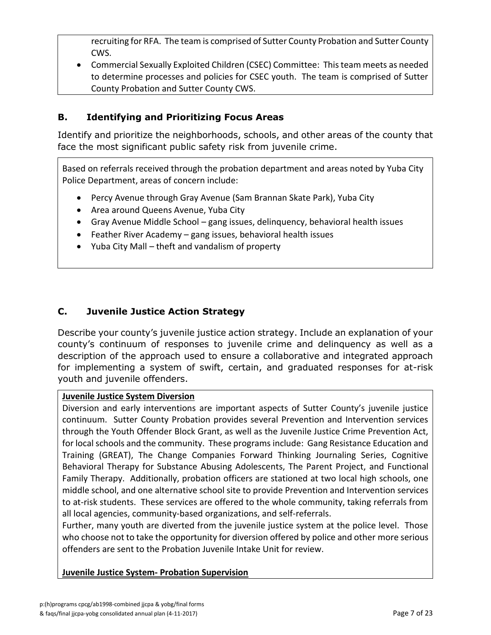recruiting for RFA. The team is comprised of Sutter County Probation and Sutter County CWS.

 Commercial Sexually Exploited Children (CSEC) Committee: This team meets as needed to determine processes and policies for CSEC youth. The team is comprised of Sutter County Probation and Sutter County CWS.

### **B. Identifying and Prioritizing Focus Areas**

Identify and prioritize the neighborhoods, schools, and other areas of the county that face the most significant public safety risk from juvenile crime.

Based on referrals received through the probation department and areas noted by Yuba City Police Department, areas of concern include:

- Percy Avenue through Gray Avenue (Sam Brannan Skate Park), Yuba City
- Area around Queens Avenue, Yuba City
- Gray Avenue Middle School gang issues, delinquency, behavioral health issues
- Feather River Academy gang issues, behavioral health issues
- Yuba City Mall theft and vandalism of property

### **C. Juvenile Justice Action Strategy**

Describe your county's juvenile justice action strategy. Include an explanation of your county's continuum of responses to juvenile crime and delinquency as well as a description of the approach used to ensure a collaborative and integrated approach for implementing a system of swift, certain, and graduated responses for at-risk youth and juvenile offenders.

#### **Juvenile Justice System Diversion**

Diversion and early interventions are important aspects of Sutter County's juvenile justice continuum. Sutter County Probation provides several Prevention and Intervention services through the Youth Offender Block Grant, as well as the Juvenile Justice Crime Prevention Act, for local schools and the community. These programs include: Gang Resistance Education and Training (GREAT), The Change Companies Forward Thinking Journaling Series, Cognitive Behavioral Therapy for Substance Abusing Adolescents, The Parent Project, and Functional Family Therapy. Additionally, probation officers are stationed at two local high schools, one middle school, and one alternative school site to provide Prevention and Intervention services to at-risk students. These services are offered to the whole community, taking referrals from all local agencies, community-based organizations, and self-referrals.

Further, many youth are diverted from the juvenile justice system at the police level. Those who choose not to take the opportunity for diversion offered by police and other more serious offenders are sent to the Probation Juvenile Intake Unit for review.

#### **Juvenile Justice System- Probation Supervision**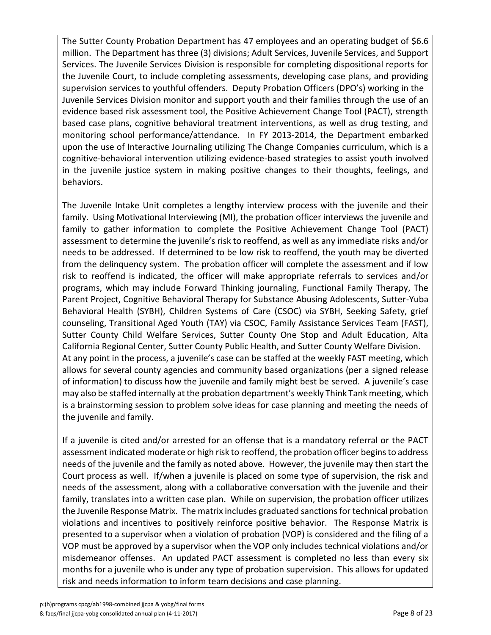The Sutter County Probation Department has 47 employees and an operating budget of \$6.6 million. The Department has three (3) divisions; Adult Services, Juvenile Services, and Support Services. The Juvenile Services Division is responsible for completing dispositional reports for the Juvenile Court, to include completing assessments, developing case plans, and providing supervision services to youthful offenders. Deputy Probation Officers (DPO's) working in the Juvenile Services Division monitor and support youth and their families through the use of an evidence based risk assessment tool, the Positive Achievement Change Tool (PACT), strength based case plans, cognitive behavioral treatment interventions, as well as drug testing, and monitoring school performance/attendance. In FY 2013-2014, the Department embarked upon the use of Interactive Journaling utilizing The Change Companies curriculum, which is a cognitive-behavioral intervention utilizing evidence-based strategies to assist youth involved in the juvenile justice system in making positive changes to their thoughts, feelings, and behaviors.

The Juvenile Intake Unit completes a lengthy interview process with the juvenile and their family. Using Motivational Interviewing (MI), the probation officer interviews the juvenile and family to gather information to complete the Positive Achievement Change Tool (PACT) assessment to determine the juvenile's risk to reoffend, as well as any immediate risks and/or needs to be addressed. If determined to be low risk to reoffend, the youth may be diverted from the delinquency system. The probation officer will complete the assessment and if low risk to reoffend is indicated, the officer will make appropriate referrals to services and/or programs, which may include Forward Thinking journaling, Functional Family Therapy, The Parent Project, Cognitive Behavioral Therapy for Substance Abusing Adolescents, Sutter-Yuba Behavioral Health (SYBH), Children Systems of Care (CSOC) via SYBH, Seeking Safety, grief counseling, Transitional Aged Youth (TAY) via CSOC, Family Assistance Services Team (FAST), Sutter County Child Welfare Services, Sutter County One Stop and Adult Education, Alta California Regional Center, Sutter County Public Health, and Sutter County Welfare Division. At any point in the process, a juvenile's case can be staffed at the weekly FAST meeting, which allows for several county agencies and community based organizations (per a signed release of information) to discuss how the juvenile and family might best be served. A juvenile's case may also be staffed internally at the probation department's weekly Think Tank meeting, which is a brainstorming session to problem solve ideas for case planning and meeting the needs of the juvenile and family.

If a juvenile is cited and/or arrested for an offense that is a mandatory referral or the PACT assessment indicated moderate or high risk to reoffend, the probation officer begins to address needs of the juvenile and the family as noted above. However, the juvenile may then start the Court process as well. If/when a juvenile is placed on some type of supervision, the risk and needs of the assessment, along with a collaborative conversation with the juvenile and their family, translates into a written case plan. While on supervision, the probation officer utilizes the Juvenile Response Matrix. The matrix includes graduated sanctions for technical probation violations and incentives to positively reinforce positive behavior. The Response Matrix is presented to a supervisor when a violation of probation (VOP) is considered and the filing of a VOP must be approved by a supervisor when the VOP only includes technical violations and/or misdemeanor offenses. An updated PACT assessment is completed no less than every six months for a juvenile who is under any type of probation supervision. This allows for updated risk and needs information to inform team decisions and case planning.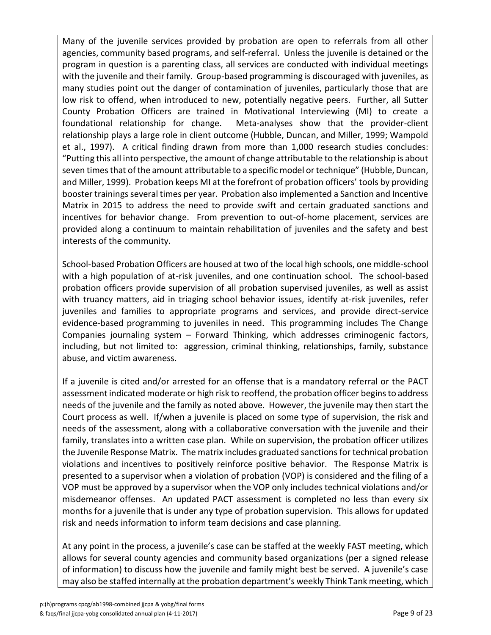Many of the juvenile services provided by probation are open to referrals from all other agencies, community based programs, and self-referral. Unless the juvenile is detained or the program in question is a parenting class, all services are conducted with individual meetings with the juvenile and their family. Group-based programming is discouraged with juveniles, as many studies point out the danger of contamination of juveniles, particularly those that are low risk to offend, when introduced to new, potentially negative peers. Further, all Sutter County Probation Officers are trained in Motivational Interviewing (MI) to create a foundational relationship for change. Meta-analyses show that the provider-client relationship plays a large role in client outcome (Hubble, Duncan, and Miller, 1999; Wampold et al., 1997). A critical finding drawn from more than 1,000 research studies concludes: "Putting this all into perspective, the amount of change attributable to the relationship is about seven times that of the amount attributable to a specific model or technique" (Hubble, Duncan, and Miller, 1999). Probation keeps MI at the forefront of probation officers' tools by providing booster trainings several times per year. Probation also implemented a Sanction and Incentive Matrix in 2015 to address the need to provide swift and certain graduated sanctions and incentives for behavior change. From prevention to out-of-home placement, services are provided along a continuum to maintain rehabilitation of juveniles and the safety and best interests of the community.

School-based Probation Officers are housed at two of the local high schools, one middle-school with a high population of at-risk juveniles, and one continuation school. The school-based probation officers provide supervision of all probation supervised juveniles, as well as assist with truancy matters, aid in triaging school behavior issues, identify at-risk juveniles, refer juveniles and families to appropriate programs and services, and provide direct-service evidence-based programming to juveniles in need. This programming includes The Change Companies journaling system – Forward Thinking, which addresses criminogenic factors, including, but not limited to: aggression, criminal thinking, relationships, family, substance abuse, and victim awareness.

If a juvenile is cited and/or arrested for an offense that is a mandatory referral or the PACT assessment indicated moderate or high risk to reoffend, the probation officer begins to address needs of the juvenile and the family as noted above. However, the juvenile may then start the Court process as well. If/when a juvenile is placed on some type of supervision, the risk and needs of the assessment, along with a collaborative conversation with the juvenile and their family, translates into a written case plan. While on supervision, the probation officer utilizes the Juvenile Response Matrix. The matrix includes graduated sanctions for technical probation violations and incentives to positively reinforce positive behavior. The Response Matrix is presented to a supervisor when a violation of probation (VOP) is considered and the filing of a VOP must be approved by a supervisor when the VOP only includes technical violations and/or misdemeanor offenses. An updated PACT assessment is completed no less than every six months for a juvenile that is under any type of probation supervision. This allows for updated risk and needs information to inform team decisions and case planning.

At any point in the process, a juvenile's case can be staffed at the weekly FAST meeting, which allows for several county agencies and community based organizations (per a signed release of information) to discuss how the juvenile and family might best be served. A juvenile's case may also be staffed internally at the probation department's weekly Think Tank meeting, which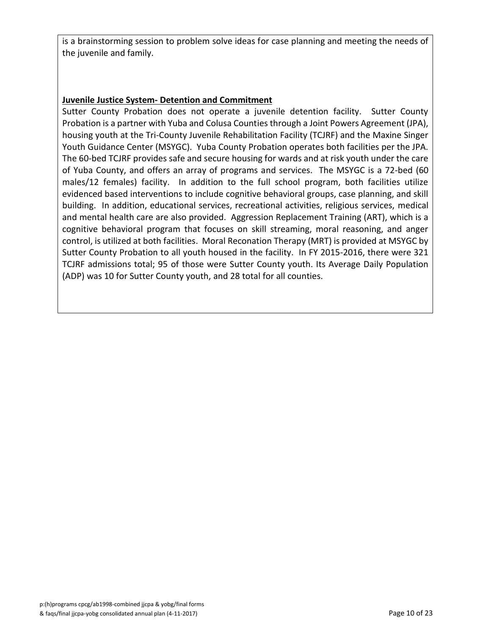is a brainstorming session to problem solve ideas for case planning and meeting the needs of the juvenile and family.

#### **Juvenile Justice System- Detention and Commitment**

Sutter County Probation does not operate a juvenile detention facility. Sutter County Probation is a partner with Yuba and Colusa Counties through a Joint Powers Agreement (JPA), housing youth at the Tri-County Juvenile Rehabilitation Facility (TCJRF) and the Maxine Singer Youth Guidance Center (MSYGC). Yuba County Probation operates both facilities per the JPA. The 60-bed TCJRF provides safe and secure housing for wards and at risk youth under the care of Yuba County, and offers an array of programs and services. The MSYGC is a 72-bed (60 males/12 females) facility. In addition to the full school program, both facilities utilize evidenced based interventions to include cognitive behavioral groups, case planning, and skill building. In addition, educational services, recreational activities, religious services, medical and mental health care are also provided. Aggression Replacement Training (ART), which is a cognitive behavioral program that focuses on skill streaming, moral reasoning, and anger control, is utilized at both facilities. Moral Reconation Therapy (MRT) is provided at MSYGC by Sutter County Probation to all youth housed in the facility. In FY 2015-2016, there were 321 TCJRF admissions total; 95 of those were Sutter County youth. Its Average Daily Population (ADP) was 10 for Sutter County youth, and 28 total for all counties.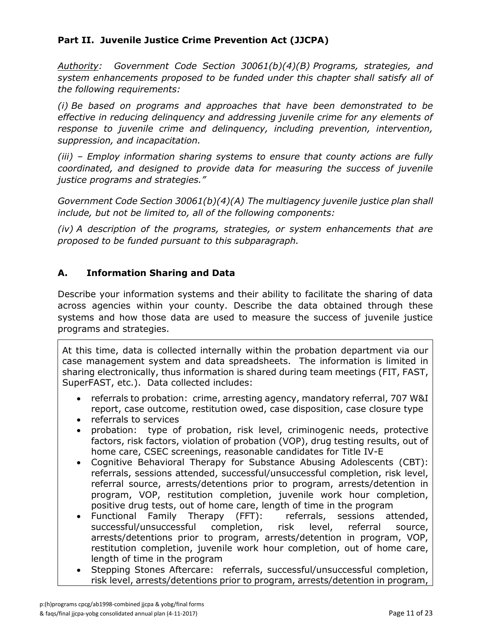### **Part II. Juvenile Justice Crime Prevention Act (JJCPA)**

*Authority: Government Code Section 30061(b)(4)(B) Programs, strategies, and system enhancements proposed to be funded under this chapter shall satisfy all of the following requirements:*

*(i) Be based on programs and approaches that have been demonstrated to be effective in reducing delinquency and addressing juvenile crime for any elements of response to juvenile crime and delinquency, including prevention, intervention, suppression, and incapacitation.*

*(iii) – Employ information sharing systems to ensure that county actions are fully coordinated, and designed to provide data for measuring the success of juvenile justice programs and strategies."*

*Government Code Section 30061(b)(4)(A) The multiagency juvenile justice plan shall include, but not be limited to, all of the following components:*

*(iv) A description of the programs, strategies, or system enhancements that are proposed to be funded pursuant to this subparagraph.*

### **A. Information Sharing and Data**

Describe your information systems and their ability to facilitate the sharing of data across agencies within your county. Describe the data obtained through these systems and how those data are used to measure the success of juvenile justice programs and strategies.

At this time, data is collected internally within the probation department via our case management system and data spreadsheets. The information is limited in sharing electronically, thus information is shared during team meetings (FIT, FAST, SuperFAST, etc.). Data collected includes:

- referrals to probation: crime, arresting agency, mandatory referral, 707 W&I report, case outcome, restitution owed, case disposition, case closure type
- referrals to services
- probation: type of probation, risk level, criminogenic needs, protective factors, risk factors, violation of probation (VOP), drug testing results, out of home care, CSEC screenings, reasonable candidates for Title IV-E
- Cognitive Behavioral Therapy for Substance Abusing Adolescents (CBT): referrals, sessions attended, successful/unsuccessful completion, risk level, referral source, arrests/detentions prior to program, arrests/detention in program, VOP, restitution completion, juvenile work hour completion, positive drug tests, out of home care, length of time in the program
- Functional Family Therapy (FFT): referrals, sessions attended, successful/unsuccessful completion, risk level, referral source, arrests/detentions prior to program, arrests/detention in program, VOP, restitution completion, juvenile work hour completion, out of home care, length of time in the program
- Stepping Stones Aftercare: referrals, successful/unsuccessful completion, risk level, arrests/detentions prior to program, arrests/detention in program,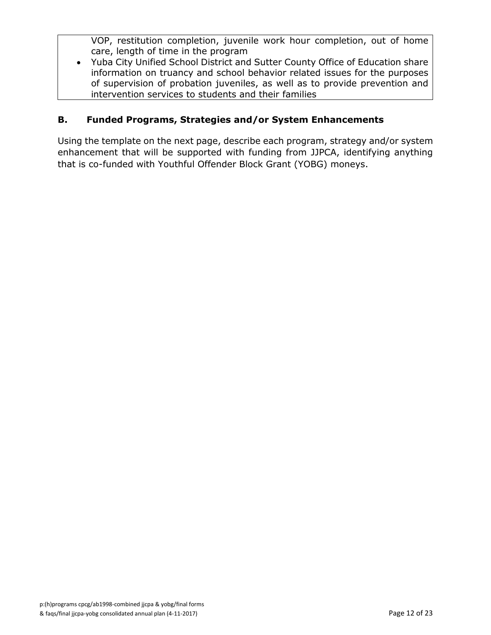VOP, restitution completion, juvenile work hour completion, out of home care, length of time in the program

 Yuba City Unified School District and Sutter County Office of Education share information on truancy and school behavior related issues for the purposes of supervision of probation juveniles, as well as to provide prevention and intervention services to students and their families

### **B. Funded Programs, Strategies and/or System Enhancements**

Using the template on the next page, describe each program, strategy and/or system enhancement that will be supported with funding from JJPCA, identifying anything that is co-funded with Youthful Offender Block Grant (YOBG) moneys.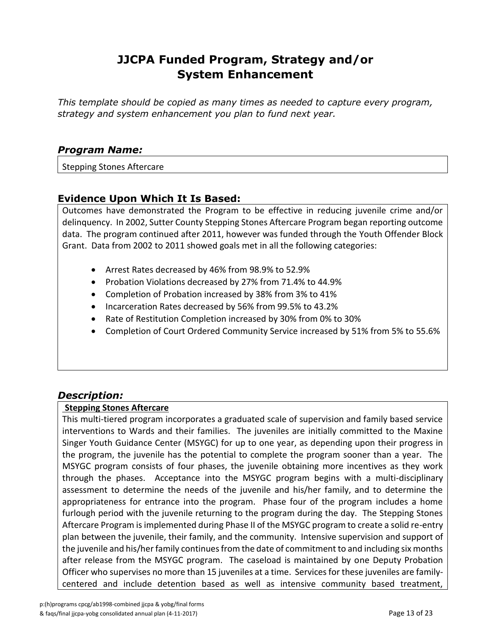## **JJCPA Funded Program, Strategy and/or System Enhancement**

*This template should be copied as many times as needed to capture every program, strategy and system enhancement you plan to fund next year.*

### *Program Name:*

Stepping Stones Aftercare

### **Evidence Upon Which It Is Based:**

Outcomes have demonstrated the Program to be effective in reducing juvenile crime and/or delinquency. In 2002, Sutter County Stepping Stones Aftercare Program began reporting outcome data. The program continued after 2011, however was funded through the Youth Offender Block Grant. Data from 2002 to 2011 showed goals met in all the following categories:

- Arrest Rates decreased by 46% from 98.9% to 52.9%
- Probation Violations decreased by 27% from 71.4% to 44.9%
- Completion of Probation increased by 38% from 3% to 41%
- Incarceration Rates decreased by 56% from 99.5% to 43.2%
- Rate of Restitution Completion increased by 30% from 0% to 30%
- Completion of Court Ordered Community Service increased by 51% from 5% to 55.6%

### *Description:*

#### **Stepping Stones Aftercare**

This multi-tiered program incorporates a graduated scale of supervision and family based service interventions to Wards and their families. The juveniles are initially committed to the Maxine Singer Youth Guidance Center (MSYGC) for up to one year, as depending upon their progress in the program, the juvenile has the potential to complete the program sooner than a year. The MSYGC program consists of four phases, the juvenile obtaining more incentives as they work through the phases. Acceptance into the MSYGC program begins with a multi-disciplinary assessment to determine the needs of the juvenile and his/her family, and to determine the appropriateness for entrance into the program. Phase four of the program includes a home furlough period with the juvenile returning to the program during the day. The Stepping Stones Aftercare Program is implemented during Phase II of the MSYGC program to create a solid re-entry plan between the juvenile, their family, and the community. Intensive supervision and support of the juvenile and his/her family continues from the date of commitment to and including six months after release from the MSYGC program. The caseload is maintained by one Deputy Probation Officer who supervises no more than 15 juveniles at a time. Services for these juveniles are familycentered and include detention based as well as intensive community based treatment,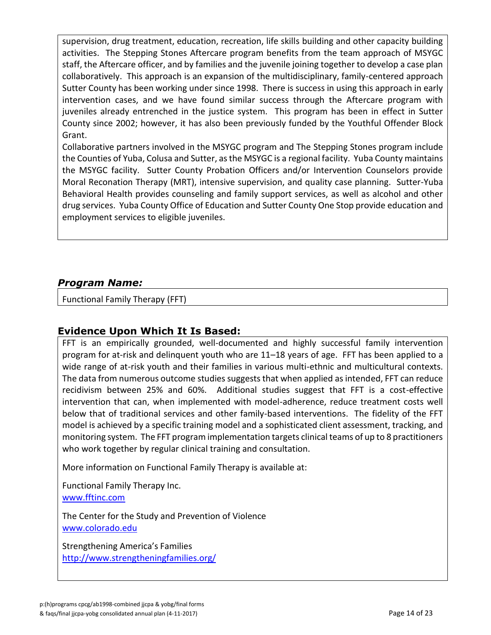supervision, drug treatment, education, recreation, life skills building and other capacity building activities. The Stepping Stones Aftercare program benefits from the team approach of MSYGC staff, the Aftercare officer, and by families and the juvenile joining together to develop a case plan collaboratively. This approach is an expansion of the multidisciplinary, family-centered approach Sutter County has been working under since 1998. There is success in using this approach in early intervention cases, and we have found similar success through the Aftercare program with juveniles already entrenched in the justice system. This program has been in effect in Sutter County since 2002; however, it has also been previously funded by the Youthful Offender Block Grant.

Collaborative partners involved in the MSYGC program and The Stepping Stones program include the Counties of Yuba, Colusa and Sutter, as the MSYGC is a regional facility. Yuba County maintains the MSYGC facility. Sutter County Probation Officers and/or Intervention Counselors provide Moral Reconation Therapy (MRT), intensive supervision, and quality case planning. Sutter-Yuba Behavioral Health provides counseling and family support services, as well as alcohol and other drug services. Yuba County Office of Education and Sutter County One Stop provide education and employment services to eligible juveniles.

### *Program Name:*

Functional Family Therapy (FFT)

### **Evidence Upon Which It Is Based:**

FFT is an empirically grounded, well-documented and highly successful family intervention program for at-risk and delinquent youth who are 11–18 years of age. FFT has been applied to a wide range of at-risk youth and their families in various multi-ethnic and multicultural contexts. The data from numerous outcome studies suggests that when applied as intended, FFT can reduce recidivism between 25% and 60%. Additional studies suggest that FFT is a cost-effective intervention that can, when implemented with model-adherence, reduce treatment costs well below that of traditional services and other family-based interventions. The fidelity of the FFT model is achieved by a specific training model and a sophisticated client assessment, tracking, and monitoring system. The FFT program implementation targets clinical teams of up to 8 practitioners who work together by regular clinical training and consultation.

More information on Functional Family Therapy is available at:

Functional Family Therapy Inc. [www.fftinc.com](http://www.fftinc.com/)

The Center for the Study and Prevention of Violence [www.colorado.edu](http://www.colorado.edu/cspv/blueprints/modelprograms/FFT.html)

Strengthening America's Families <http://www.strengtheningfamilies.org/>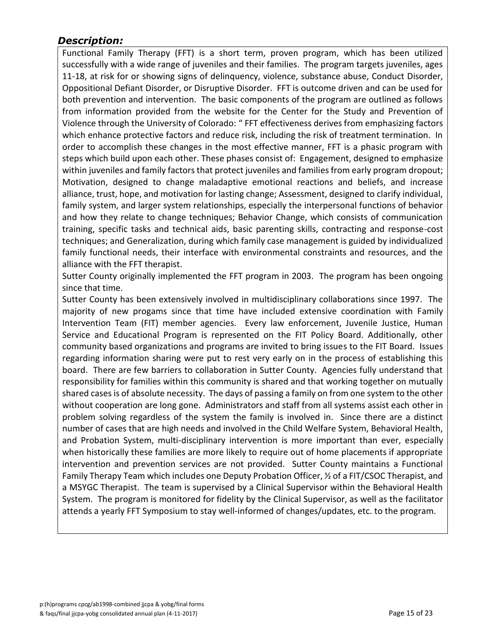### *Description:*

Functional Family Therapy (FFT) is a short term, proven program, which has been utilized successfully with a wide range of juveniles and their families. The program targets juveniles, ages 11-18, at risk for or showing signs of delinquency, violence, substance abuse, Conduct Disorder, Oppositional Defiant Disorder, or Disruptive Disorder. FFT is outcome driven and can be used for both prevention and intervention. The basic components of the program are outlined as follows from information provided from the website for the Center for the Study and Prevention of Violence through the University of Colorado: " FFT effectiveness derives from emphasizing factors which enhance protective factors and reduce risk, including the risk of treatment termination. In order to accomplish these changes in the most effective manner, FFT is a phasic program with steps which build upon each other. These phases consist of: Engagement, designed to emphasize within juveniles and family factors that protect juveniles and families from early program dropout; Motivation, designed to change maladaptive emotional reactions and beliefs, and increase alliance, trust, hope, and motivation for lasting change; Assessment, designed to clarify individual, family system, and larger system relationships, especially the interpersonal functions of behavior and how they relate to change techniques; Behavior Change, which consists of communication training, specific tasks and technical aids, basic parenting skills, contracting and response-cost techniques; and Generalization, during which family case management is guided by individualized family functional needs, their interface with environmental constraints and resources, and the alliance with the FFT therapist.

Sutter County originally implemented the FFT program in 2003. The program has been ongoing since that time.

Sutter County has been extensively involved in multidisciplinary collaborations since 1997. The majority of new progams since that time have included extensive coordination with Family Intervention Team (FIT) member agencies. Every law enforcement, Juvenile Justice, Human Service and Educational Program is represented on the FIT Policy Board. Additionally, other community based organizations and programs are invited to bring issues to the FIT Board. Issues regarding information sharing were put to rest very early on in the process of establishing this board. There are few barriers to collaboration in Sutter County. Agencies fully understand that responsibility for families within this community is shared and that working together on mutually shared cases is of absolute necessity. The days of passing a family on from one system to the other without cooperation are long gone. Administrators and staff from all systems assist each other in problem solving regardless of the system the family is involved in. Since there are a distinct number of cases that are high needs and involved in the Child Welfare System, Behavioral Health, and Probation System, multi-disciplinary intervention is more important than ever, especially when historically these families are more likely to require out of home placements if appropriate intervention and prevention services are not provided. Sutter County maintains a Functional Family Therapy Team which includes one Deputy Probation Officer, ½ of a FIT/CSOC Therapist, and a MSYGC Therapist. The team is supervised by a Clinical Supervisor within the Behavioral Health System. The program is monitored for fidelity by the Clinical Supervisor, as well as the facilitator attends a yearly FFT Symposium to stay well-informed of changes/updates, etc. to the program.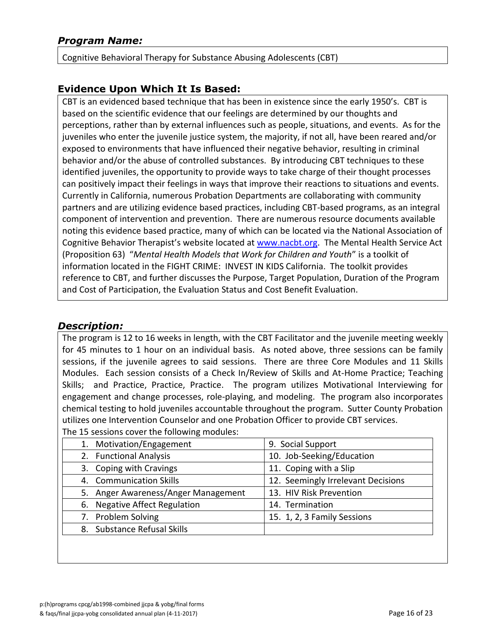Cognitive Behavioral Therapy for Substance Abusing Adolescents (CBT)

### **Evidence Upon Which It Is Based:**

CBT is an evidenced based technique that has been in existence since the early 1950's. CBT is based on the scientific evidence that our feelings are determined by our thoughts and perceptions, rather than by external influences such as people, situations, and events. As for the juveniles who enter the juvenile justice system, the majority, if not all, have been reared and/or exposed to environments that have influenced their negative behavior, resulting in criminal behavior and/or the abuse of controlled substances. By introducing CBT techniques to these identified juveniles, the opportunity to provide ways to take charge of their thought processes can positively impact their feelings in ways that improve their reactions to situations and events. Currently in California, numerous Probation Departments are collaborating with community partners and are utilizing evidence based practices, including CBT-based programs, as an integral component of intervention and prevention. There are numerous resource documents available noting this evidence based practice, many of which can be located via the National Association of Cognitive Behavior Therapist's website located at [www.nacbt.org.](http://www.nacbt.org/) The Mental Health Service Act (Proposition 63) "*Mental Health Models that Work for Children and Youth*" is a toolkit of information located in the FIGHT CRIME: INVEST IN KIDS California. The toolkit provides reference to CBT, and further discusses the Purpose, Target Population, Duration of the Program and Cost of Participation, the Evaluation Status and Cost Benefit Evaluation.

### *Description:*

The program is 12 to 16 weeks in length, with the CBT Facilitator and the juvenile meeting weekly for 45 minutes to 1 hour on an individual basis. As noted above, three sessions can be family sessions, if the juvenile agrees to said sessions. There are three Core Modules and 11 Skills Modules. Each session consists of a Check In/Review of Skills and At-Home Practice; Teaching Skills; and Practice, Practice, Practice. The program utilizes Motivational Interviewing for engagement and change processes, role-playing, and modeling. The program also incorporates chemical testing to hold juveniles accountable throughout the program. Sutter County Probation utilizes one Intervention Counselor and one Probation Officer to provide CBT services.

|                               | 1. Motivation/Engagement            | 9. Social Support                  |
|-------------------------------|-------------------------------------|------------------------------------|
| 2. Functional Analysis        |                                     | 10. Job-Seeking/Education          |
| 3. Coping with Cravings       |                                     | 11. Coping with a Slip             |
|                               | 4. Communication Skills             | 12. Seemingly Irrelevant Decisions |
|                               | 5. Anger Awareness/Anger Management | 13. HIV Risk Prevention            |
| 6. Negative Affect Regulation |                                     | 14. Termination                    |
| 7. Problem Solving            |                                     | 15. 1, 2, 3 Family Sessions        |
|                               | 8. Substance Refusal Skills         |                                    |
|                               |                                     |                                    |

The 15 sessions cover the following modules: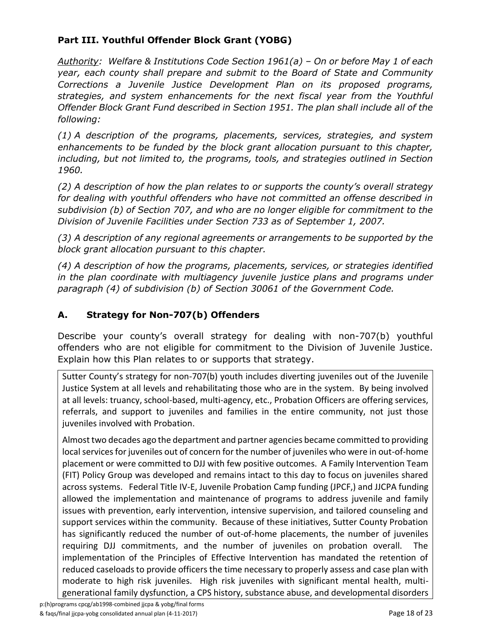### **Part III. Youthful Offender Block Grant (YOBG)**

*Authority: Welfare & Institutions Code Section 1961(a) – On or before May 1 of each year, each county shall prepare and submit to the Board of State and Community Corrections a Juvenile Justice Development Plan on its proposed programs, strategies, and system enhancements for the next fiscal year from the Youthful Offender Block Grant Fund described in Section 1951. The plan shall include all of the following:*

*(1) A description of the programs, placements, services, strategies, and system enhancements to be funded by the block grant allocation pursuant to this chapter, including, but not limited to, the programs, tools, and strategies outlined in Section 1960.*

*(2) A description of how the plan relates to or supports the county's overall strategy for dealing with youthful offenders who have not committed an offense described in subdivision (b) of Section 707, and who are no longer eligible for commitment to the Division of Juvenile Facilities under Section 733 as of September 1, 2007.*

*(3) A description of any regional agreements or arrangements to be supported by the block grant allocation pursuant to this chapter.*

*(4) A description of how the programs, placements, services, or strategies identified in the plan coordinate with multiagency juvenile justice plans and programs under paragraph (4) of subdivision (b) of Section 30061 of the Government Code.*

### **A. Strategy for Non-707(b) Offenders**

Describe your county's overall strategy for dealing with non-707(b) youthful offenders who are not eligible for commitment to the Division of Juvenile Justice. Explain how this Plan relates to or supports that strategy.

Sutter County's strategy for non-707(b) youth includes diverting juveniles out of the Juvenile Justice System at all levels and rehabilitating those who are in the system. By being involved at all levels: truancy, school-based, multi-agency, etc., Probation Officers are offering services, referrals, and support to juveniles and families in the entire community, not just those juveniles involved with Probation.

Almost two decades ago the department and partner agencies became committed to providing local services for juveniles out of concern for the number of juveniles who were in out-of-home placement or were committed to DJJ with few positive outcomes. A Family Intervention Team (FIT) Policy Group was developed and remains intact to this day to focus on juveniles shared across systems. Federal Title IV-E, Juvenile Probation Camp funding (JPCF,) and JJCPA funding allowed the implementation and maintenance of programs to address juvenile and family issues with prevention, early intervention, intensive supervision, and tailored counseling and support services within the community. Because of these initiatives, Sutter County Probation has significantly reduced the number of out-of-home placements, the number of juveniles requiring DJJ commitments, and the number of juveniles on probation overall. The implementation of the Principles of Effective Intervention has mandated the retention of reduced caseloads to provide officers the time necessary to properly assess and case plan with moderate to high risk juveniles. High risk juveniles with significant mental health, multigenerational family dysfunction, a CPS history, substance abuse, and developmental disorders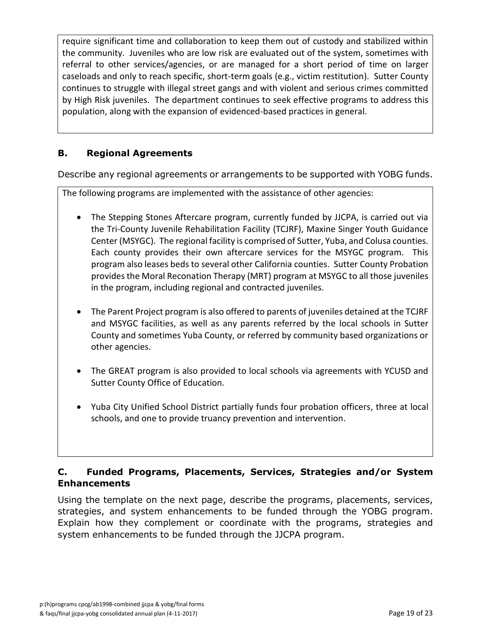require significant time and collaboration to keep them out of custody and stabilized within the community. Juveniles who are low risk are evaluated out of the system, sometimes with referral to other services/agencies, or are managed for a short period of time on larger caseloads and only to reach specific, short-term goals (e.g., victim restitution). Sutter County continues to struggle with illegal street gangs and with violent and serious crimes committed by High Risk juveniles. The department continues to seek effective programs to address this population, along with the expansion of evidenced-based practices in general.

### **B. Regional Agreements**

Describe any regional agreements or arrangements to be supported with YOBG funds.

The following programs are implemented with the assistance of other agencies:

- The Stepping Stones Aftercare program, currently funded by JJCPA, is carried out via the Tri-County Juvenile Rehabilitation Facility (TCJRF), Maxine Singer Youth Guidance Center (MSYGC). The regional facility is comprised of Sutter, Yuba, and Colusa counties. Each county provides their own aftercare services for the MSYGC program. This program also leases beds to several other California counties. Sutter County Probation provides the Moral Reconation Therapy (MRT) program at MSYGC to all those juveniles in the program, including regional and contracted juveniles.
- The Parent Project program is also offered to parents of juveniles detained at the TCJRF and MSYGC facilities, as well as any parents referred by the local schools in Sutter County and sometimes Yuba County, or referred by community based organizations or other agencies.
- The GREAT program is also provided to local schools via agreements with YCUSD and Sutter County Office of Education.
- Yuba City Unified School District partially funds four probation officers, three at local schools, and one to provide truancy prevention and intervention.

### **C. Funded Programs, Placements, Services, Strategies and/or System Enhancements**

Using the template on the next page, describe the programs, placements, services, strategies, and system enhancements to be funded through the YOBG program. Explain how they complement or coordinate with the programs, strategies and system enhancements to be funded through the JJCPA program.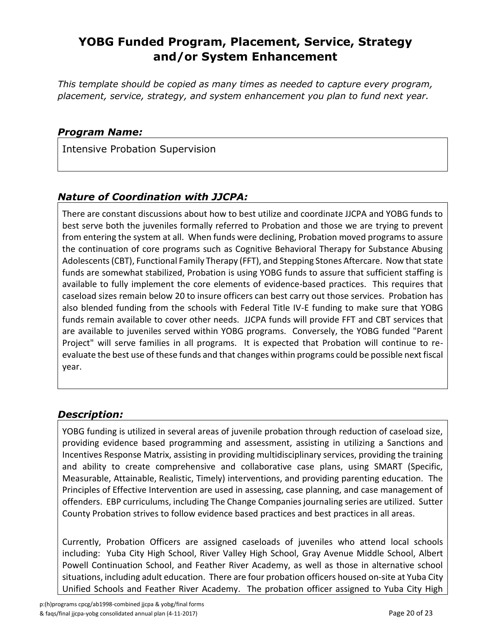## **YOBG Funded Program, Placement, Service, Strategy and/or System Enhancement**

*This template should be copied as many times as needed to capture every program, placement, service, strategy, and system enhancement you plan to fund next year.*

### *Program Name:*

Intensive Probation Supervision

### *Nature of Coordination with JJCPA:*

There are constant discussions about how to best utilize and coordinate JJCPA and YOBG funds to best serve both the juveniles formally referred to Probation and those we are trying to prevent from entering the system at all. When funds were declining, Probation moved programs to assure the continuation of core programs such as Cognitive Behavioral Therapy for Substance Abusing Adolescents (CBT), Functional Family Therapy (FFT), and Stepping Stones Aftercare. Now that state funds are somewhat stabilized, Probation is using YOBG funds to assure that sufficient staffing is available to fully implement the core elements of evidence-based practices. This requires that caseload sizes remain below 20 to insure officers can best carry out those services. Probation has also blended funding from the schools with Federal Title IV-E funding to make sure that YOBG funds remain available to cover other needs. JJCPA funds will provide FFT and CBT services that are available to juveniles served within YOBG programs. Conversely, the YOBG funded "Parent Project" will serve families in all programs. It is expected that Probation will continue to reevaluate the best use of these funds and that changes within programs could be possible next fiscal year.

### *Description:*

YOBG funding is utilized in several areas of juvenile probation through reduction of caseload size, providing evidence based programming and assessment, assisting in utilizing a Sanctions and Incentives Response Matrix, assisting in providing multidisciplinary services, providing the training and ability to create comprehensive and collaborative case plans, using SMART (Specific, Measurable, Attainable, Realistic, Timely) interventions, and providing parenting education. The Principles of Effective Intervention are used in assessing, case planning, and case management of offenders. EBP curriculums, including The Change Companies journaling series are utilized. Sutter County Probation strives to follow evidence based practices and best practices in all areas.

Currently, Probation Officers are assigned caseloads of juveniles who attend local schools including: Yuba City High School, River Valley High School, Gray Avenue Middle School, Albert Powell Continuation School, and Feather River Academy, as well as those in alternative school situations, including adult education. There are four probation officers housed on-site at Yuba City Unified Schools and Feather River Academy. The probation officer assigned to Yuba City High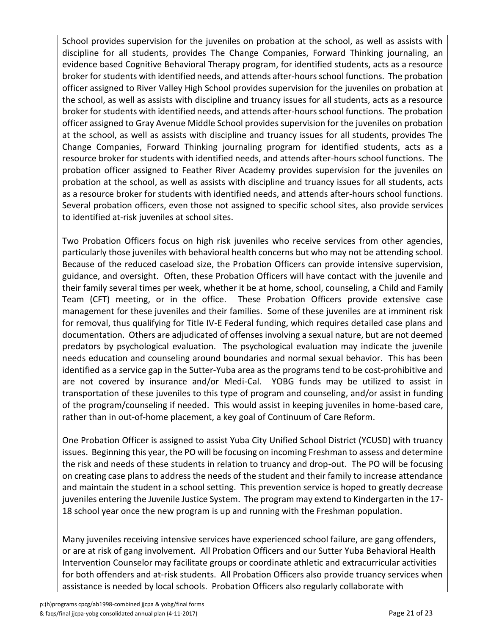School provides supervision for the juveniles on probation at the school, as well as assists with discipline for all students, provides The Change Companies, Forward Thinking journaling, an evidence based Cognitive Behavioral Therapy program, for identified students, acts as a resource broker for students with identified needs, and attends after-hours school functions. The probation officer assigned to River Valley High School provides supervision for the juveniles on probation at the school, as well as assists with discipline and truancy issues for all students, acts as a resource broker for students with identified needs, and attends after-hours school functions. The probation officer assigned to Gray Avenue Middle School provides supervision for the juveniles on probation at the school, as well as assists with discipline and truancy issues for all students, provides The Change Companies, Forward Thinking journaling program for identified students, acts as a resource broker for students with identified needs, and attends after-hours school functions. The probation officer assigned to Feather River Academy provides supervision for the juveniles on probation at the school, as well as assists with discipline and truancy issues for all students, acts as a resource broker for students with identified needs, and attends after-hours school functions. Several probation officers, even those not assigned to specific school sites, also provide services to identified at-risk juveniles at school sites.

Two Probation Officers focus on high risk juveniles who receive services from other agencies, particularly those juveniles with behavioral health concerns but who may not be attending school. Because of the reduced caseload size, the Probation Officers can provide intensive supervision, guidance, and oversight. Often, these Probation Officers will have contact with the juvenile and their family several times per week, whether it be at home, school, counseling, a Child and Family Team (CFT) meeting, or in the office. These Probation Officers provide extensive case management for these juveniles and their families. Some of these juveniles are at imminent risk for removal, thus qualifying for Title IV-E Federal funding, which requires detailed case plans and documentation. Others are adjudicated of offenses involving a sexual nature, but are not deemed predators by psychological evaluation. The psychological evaluation may indicate the juvenile needs education and counseling around boundaries and normal sexual behavior. This has been identified as a service gap in the Sutter-Yuba area as the programs tend to be cost-prohibitive and are not covered by insurance and/or Medi-Cal. YOBG funds may be utilized to assist in transportation of these juveniles to this type of program and counseling, and/or assist in funding of the program/counseling if needed. This would assist in keeping juveniles in home-based care, rather than in out-of-home placement, a key goal of Continuum of Care Reform.

One Probation Officer is assigned to assist Yuba City Unified School District (YCUSD) with truancy issues. Beginning this year, the PO will be focusing on incoming Freshman to assess and determine the risk and needs of these students in relation to truancy and drop-out. The PO will be focusing on creating case plans to address the needs of the student and their family to increase attendance and maintain the student in a school setting. This prevention service is hoped to greatly decrease juveniles entering the Juvenile Justice System. The program may extend to Kindergarten in the 17- 18 school year once the new program is up and running with the Freshman population.

Many juveniles receiving intensive services have experienced school failure, are gang offenders, or are at risk of gang involvement. All Probation Officers and our Sutter Yuba Behavioral Health Intervention Counselor may facilitate groups or coordinate athletic and extracurricular activities for both offenders and at-risk students. All Probation Officers also provide truancy services when assistance is needed by local schools. Probation Officers also regularly collaborate with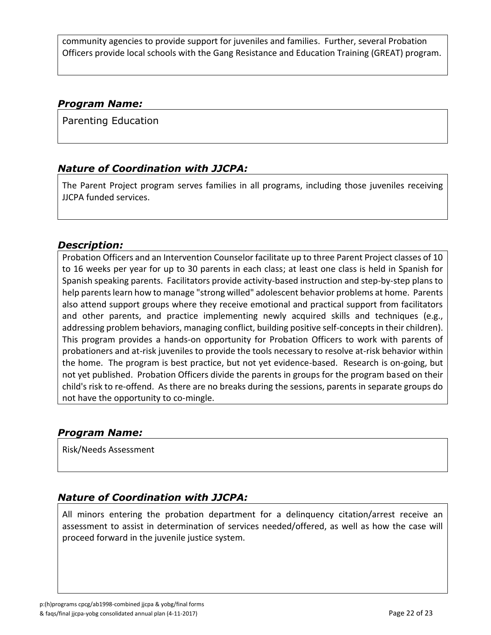community agencies to provide support for juveniles and families. Further, several Probation Officers provide local schools with the Gang Resistance and Education Training (GREAT) program.

### *Program Name:*

Parenting Education

### *Nature of Coordination with JJCPA:*

The Parent Project program serves families in all programs, including those juveniles receiving JJCPA funded services.

### *Description:*

Probation Officers and an Intervention Counselor facilitate up to three Parent Project classes of 10 to 16 weeks per year for up to 30 parents in each class; at least one class is held in Spanish for Spanish speaking parents. Facilitators provide activity-based instruction and step-by-step plans to help parents learn how to manage "strong willed" adolescent behavior problems at home. Parents also attend support groups where they receive emotional and practical support from facilitators and other parents, and practice implementing newly acquired skills and techniques (e.g., addressing problem behaviors, managing conflict, building positive self-concepts in their children). This program provides a hands-on opportunity for Probation Officers to work with parents of probationers and at-risk juveniles to provide the tools necessary to resolve at-risk behavior within the home. The program is best practice, but not yet evidence-based. Research is on-going, but not yet published. Probation Officers divide the parents in groups for the program based on their child's risk to re-offend. As there are no breaks during the sessions, parents in separate groups do not have the opportunity to co-mingle.

### *Program Name:*

Risk/Needs Assessment

### *Nature of Coordination with JJCPA:*

All minors entering the probation department for a delinquency citation/arrest receive an assessment to assist in determination of services needed/offered, as well as how the case will proceed forward in the juvenile justice system.